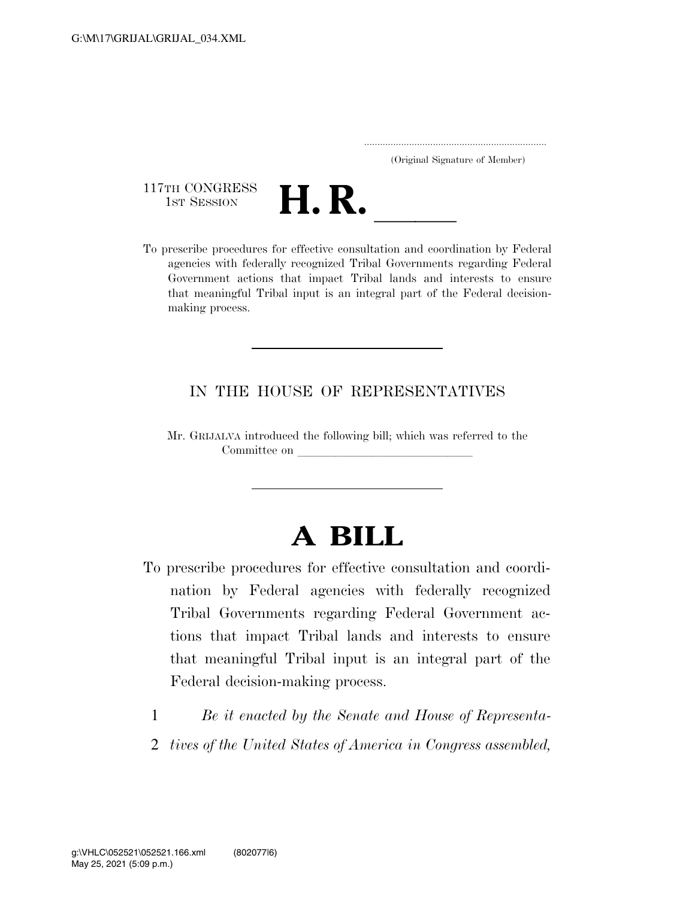.....................................................................

(Original Signature of Member)

117TH CONGRESS<br>1st Session



117TH CONGRESS<br>1st SESSION **H. R.** <u>International coordination</u> by Federal agencies with federally recognized Tribal Governments regarding Federal Government actions that impact Tribal lands and interests to ensure that meaningful Tribal input is an integral part of the Federal decisionmaking process.

## IN THE HOUSE OF REPRESENTATIVES

Mr. GRIJALVA introduced the following bill; which was referred to the Committee on

# **A BILL**

- To prescribe procedures for effective consultation and coordination by Federal agencies with federally recognized Tribal Governments regarding Federal Government actions that impact Tribal lands and interests to ensure that meaningful Tribal input is an integral part of the Federal decision-making process.
	- 1 *Be it enacted by the Senate and House of Representa-*
	- 2 *tives of the United States of America in Congress assembled,*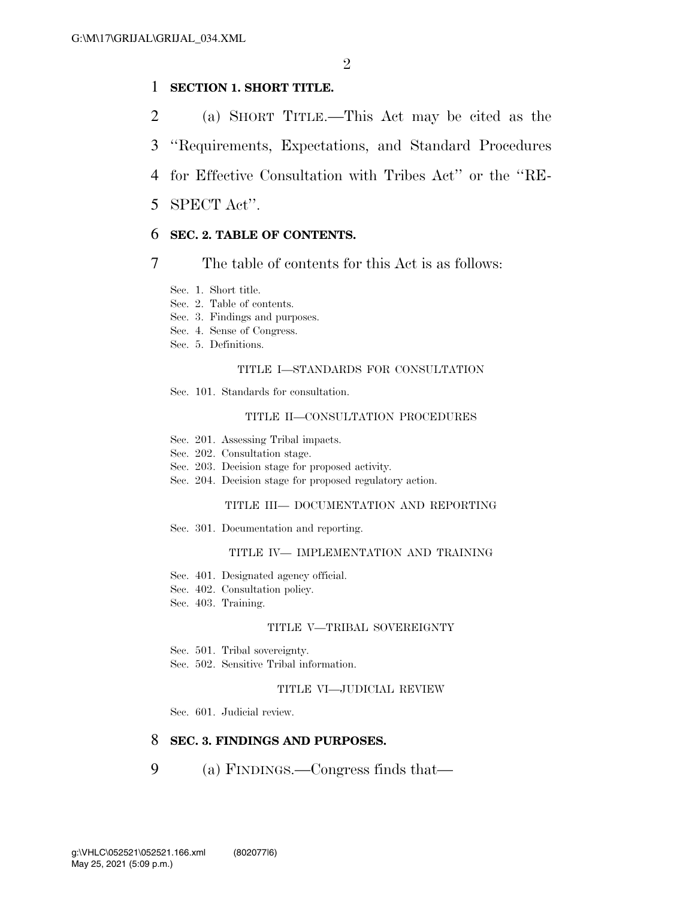## 1 **SECTION 1. SHORT TITLE.**

- 2 (a) SHORT TITLE.—This Act may be cited as the
- 3 ''Requirements, Expectations, and Standard Procedures
- 4 for Effective Consultation with Tribes Act'' or the ''RE-
- 5 SPECT Act''.

### 6 **SEC. 2. TABLE OF CONTENTS.**

7 The table of contents for this Act is as follows:

- Sec. 1. Short title.
- Sec. 2. Table of contents.
- Sec. 3. Findings and purposes.
- Sec. 4. Sense of Congress.
- Sec. 5. Definitions.

### TITLE I—STANDARDS FOR CONSULTATION

Sec. 101. Standards for consultation.

#### TITLE II—CONSULTATION PROCEDURES

- Sec. 201. Assessing Tribal impacts.
- Sec. 202. Consultation stage.
- Sec. 203. Decision stage for proposed activity.
- Sec. 204. Decision stage for proposed regulatory action.

### TITLE III— DOCUMENTATION AND REPORTING

Sec. 301. Documentation and reporting.

#### TITLE IV— IMPLEMENTATION AND TRAINING

- Sec. 401. Designated agency official.
- Sec. 402. Consultation policy.
- Sec. 403. Training.

#### TITLE V—TRIBAL SOVEREIGNTY

- Sec. 501. Tribal sovereignty.
- Sec. 502. Sensitive Tribal information.

#### TITLE VI—JUDICIAL REVIEW

Sec. 601. Judicial review.

### 8 **SEC. 3. FINDINGS AND PURPOSES.**

9 (a) FINDINGS.—Congress finds that—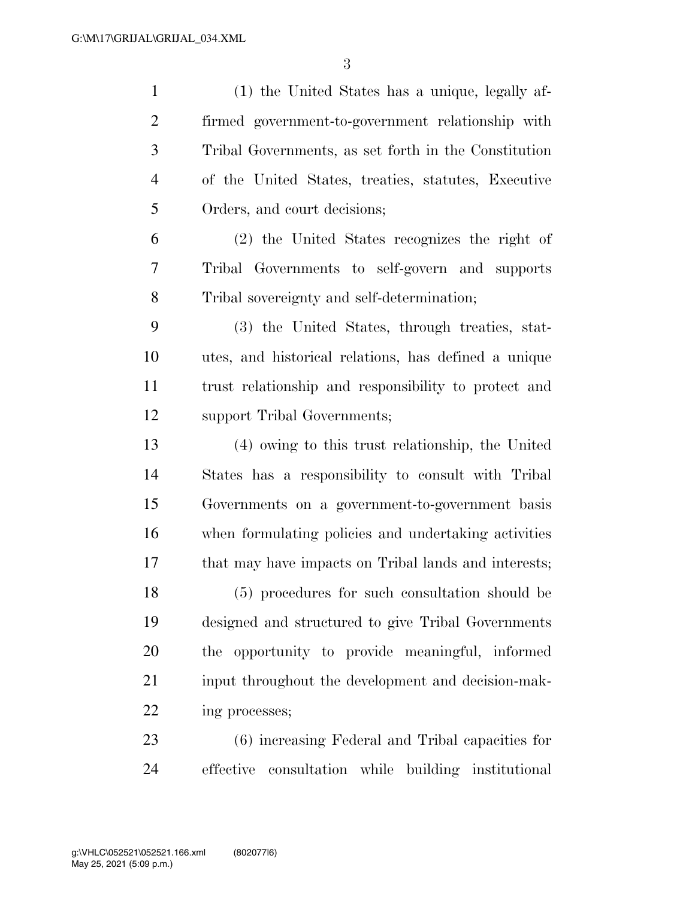(1) the United States has a unique, legally af- firmed government-to-government relationship with Tribal Governments, as set forth in the Constitution of the United States, treaties, statutes, Executive Orders, and court decisions; (2) the United States recognizes the right of Tribal Governments to self-govern and supports Tribal sovereignty and self-determination; (3) the United States, through treaties, stat- utes, and historical relations, has defined a unique trust relationship and responsibility to protect and support Tribal Governments; (4) owing to this trust relationship, the United States has a responsibility to consult with Tribal Governments on a government-to-government basis when formulating policies and undertaking activities that may have impacts on Tribal lands and interests; (5) procedures for such consultation should be designed and structured to give Tribal Governments the opportunity to provide meaningful, informed input throughout the development and decision-mak- ing processes; (6) increasing Federal and Tribal capacities for

effective consultation while building institutional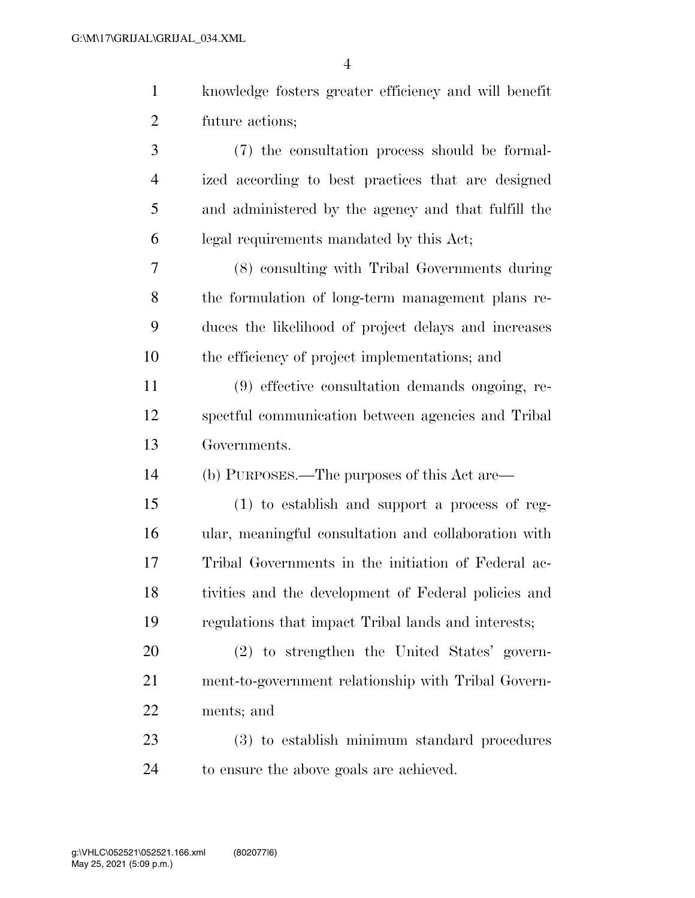|                | $\overline{4}$                                        |
|----------------|-------------------------------------------------------|
| $\mathbf{1}$   | knowledge fosters greater efficiency and will benefit |
| $\overline{2}$ | future actions;                                       |
| 3              | (7) the consultation process should be formal-        |
| $\overline{4}$ | ized according to best practices that are designed    |
| 5              | and administered by the agency and that fulfill the   |
| 6              | legal requirements mandated by this Act;              |
| 7              | (8) consulting with Tribal Governments during         |
| 8              | the formulation of long-term management plans re-     |
| 9              | duces the likelihood of project delays and increases  |
| 10             | the efficiency of project implementations; and        |
| 11             | (9) effective consultation demands ongoing, re-       |
| 12             | spectful communication between agencies and Tribal    |
| 13             | Governments.                                          |
| 14             | (b) PURPOSES.—The purposes of this Act are—           |
| 15             | $(1)$ to establish and support a process of reg-      |
| 16             | ular, meaningful consultation and collaboration with  |
| 17             | Tribal Governments in the initiation of Federal ac-   |
| 18             | tivities and the development of Federal policies and  |
| 19             | regulations that impact Tribal lands and interests;   |
|                |                                                       |

 (2) to strengthen the United States' govern- ment-to-government relationship with Tribal Govern-ments; and

 (3) to establish minimum standard procedures to ensure the above goals are achieved.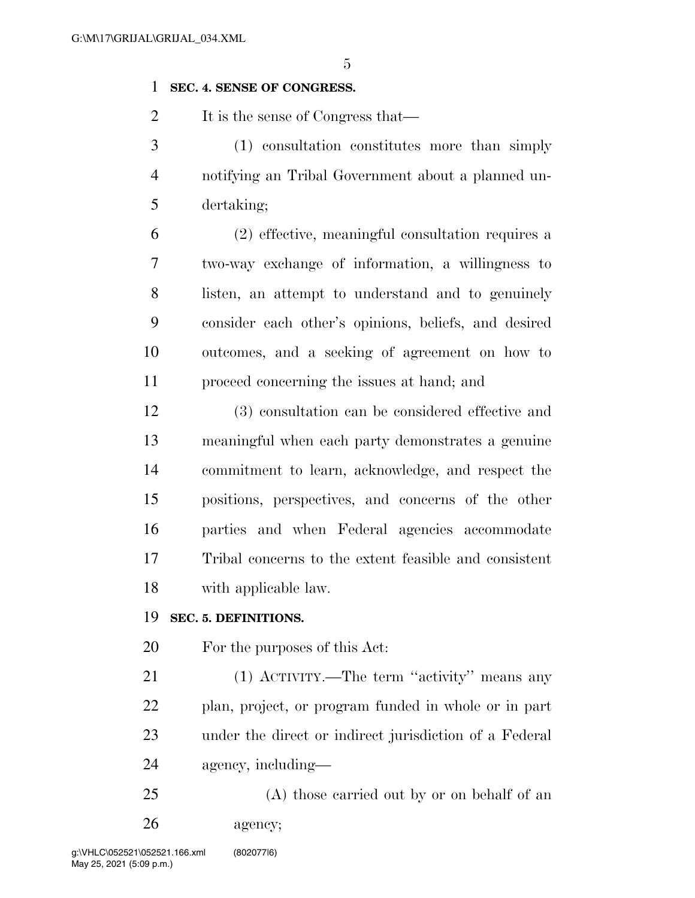## **SEC. 4. SENSE OF CONGRESS.**

2 It is the sense of Congress that—

 (1) consultation constitutes more than simply notifying an Tribal Government about a planned un-dertaking;

 (2) effective, meaningful consultation requires a two-way exchange of information, a willingness to listen, an attempt to understand and to genuinely consider each other's opinions, beliefs, and desired outcomes, and a seeking of agreement on how to proceed concerning the issues at hand; and

 (3) consultation can be considered effective and meaningful when each party demonstrates a genuine commitment to learn, acknowledge, and respect the positions, perspectives, and concerns of the other parties and when Federal agencies accommodate Tribal concerns to the extent feasible and consistent with applicable law.

## **SEC. 5. DEFINITIONS.**

For the purposes of this Act:

 (1) ACTIVITY.—The term ''activity'' means any plan, project, or program funded in whole or in part under the direct or indirect jurisdiction of a Federal agency, including—

 (A) those carried out by or on behalf of an agency;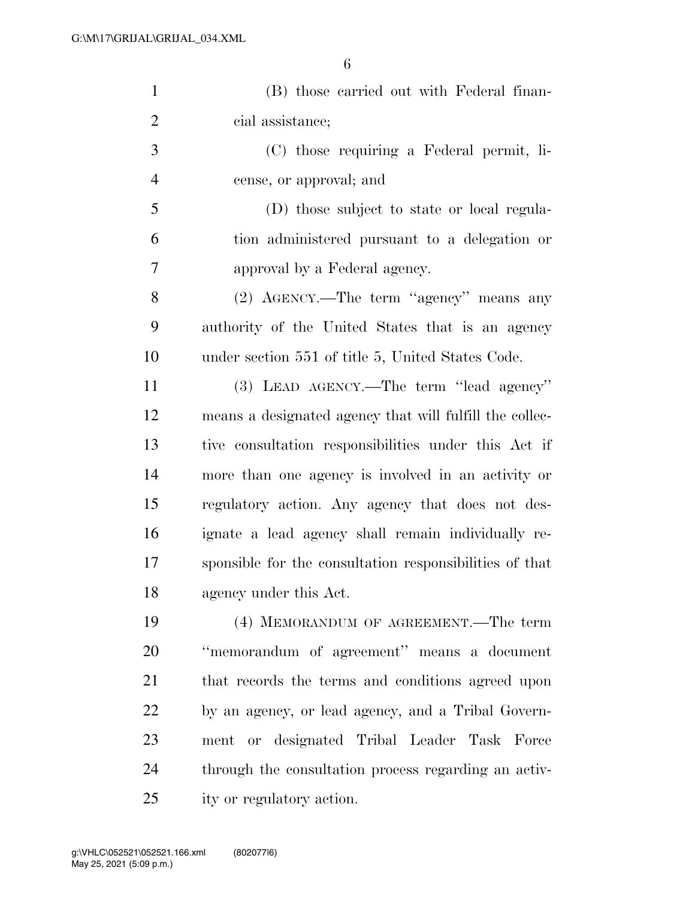| $\mathbf{1}$   | (B) those carried out with Federal finan-               |
|----------------|---------------------------------------------------------|
| $\overline{2}$ | cial assistance;                                        |
| 3              | (C) those requiring a Federal permit, li-               |
| $\overline{4}$ | cense, or approval; and                                 |
| 5              | (D) those subject to state or local regula-             |
| 6              | tion administered pursuant to a delegation or           |
| 7              | approval by a Federal agency.                           |
| 8              | (2) AGENCY.—The term "agency" means any                 |
| 9              | authority of the United States that is an agency        |
| 10             | under section 551 of title 5, United States Code.       |
| 11             | (3) LEAD AGENCY.—The term "lead agency"                 |
| 12             | means a designated agency that will fulfill the collec- |
| 13             | tive consultation responsibilities under this Act if    |
| 14             | more than one agency is involved in an activity or      |
| 15             | regulatory action. Any agency that does not des-        |
| 16             | ignate a lead agency shall remain individually re-      |
| 17             | sponsible for the consultation responsibilities of that |
| 18             | agency under this Act.                                  |
| 19             | (4) MEMORANDUM OF AGREEMENT.—The term                   |
| 20             | "memorandum of agreement" means a document              |
| 21             | that records the terms and conditions agreed upon       |
| 22             | by an agency, or lead agency, and a Tribal Govern-      |
| 23             | ment or designated Tribal Leader Task Force             |
| 24             | through the consultation process regarding an activ-    |
| 25             | ity or regulatory action.                               |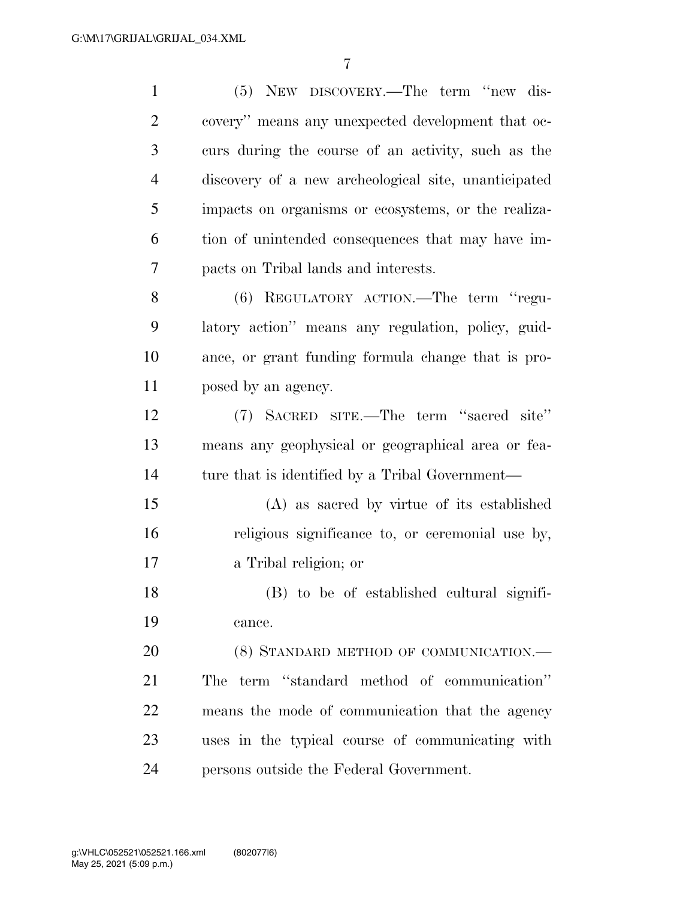| $\mathbf{1}$   | (5) NEW DISCOVERY.—The term "new dis-                |
|----------------|------------------------------------------------------|
| $\overline{2}$ | covery" means any unexpected development that oc-    |
| 3              | curs during the course of an activity, such as the   |
| $\overline{4}$ | discovery of a new archeological site, unanticipated |
| 5              | impacts on organisms or ecosystems, or the realiza-  |
| 6              | tion of unintended consequences that may have im-    |
| 7              | pacts on Tribal lands and interests.                 |
| 8              | (6) REGULATORY ACTION.—The term "regu-               |
| 9              | latory action" means any regulation, policy, guid-   |
| 10             | ance, or grant funding formula change that is pro-   |
| 11             | posed by an agency.                                  |
| 12             | (7) SACRED SITE.—The term "sacred site"              |
| 13             | means any geophysical or geographical area or fea-   |
| 14             | ture that is identified by a Tribal Government—      |
| 15             | (A) as sacred by virtue of its established           |
| 16             | religious significance to, or ceremonial use by,     |
| 17             | a Tribal religion; or                                |
| 18             | (B) to be of established cultural signifi-           |
| 19             | cance.                                               |
| 20             | (8) STANDARD METHOD OF COMMUNICATION.-               |
| 21             | The term "standard method of communication"          |
| 22             | means the mode of communication that the agency      |
| 23             | uses in the typical course of communicating with     |
| 24             | persons outside the Federal Government.              |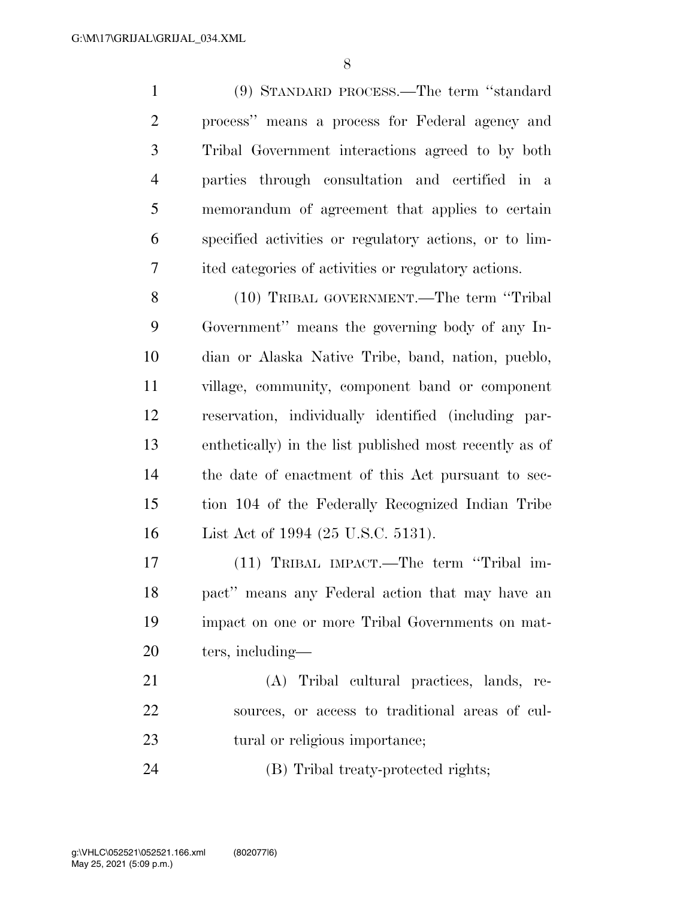(9) STANDARD PROCESS.—The term ''standard process'' means a process for Federal agency and Tribal Government interactions agreed to by both parties through consultation and certified in a memorandum of agreement that applies to certain specified activities or regulatory actions, or to lim-ited categories of activities or regulatory actions.

 (10) TRIBAL GOVERNMENT.—The term ''Tribal Government'' means the governing body of any In- dian or Alaska Native Tribe, band, nation, pueblo, village, community, component band or component reservation, individually identified (including par- enthetically) in the list published most recently as of the date of enactment of this Act pursuant to sec- tion 104 of the Federally Recognized Indian Tribe List Act of 1994 (25 U.S.C. 5131).

 (11) TRIBAL IMPACT.—The term ''Tribal im- pact'' means any Federal action that may have an impact on one or more Tribal Governments on mat-ters, including—

 (A) Tribal cultural practices, lands, re- sources, or access to traditional areas of cul-23 tural or religious importance;

(B) Tribal treaty-protected rights;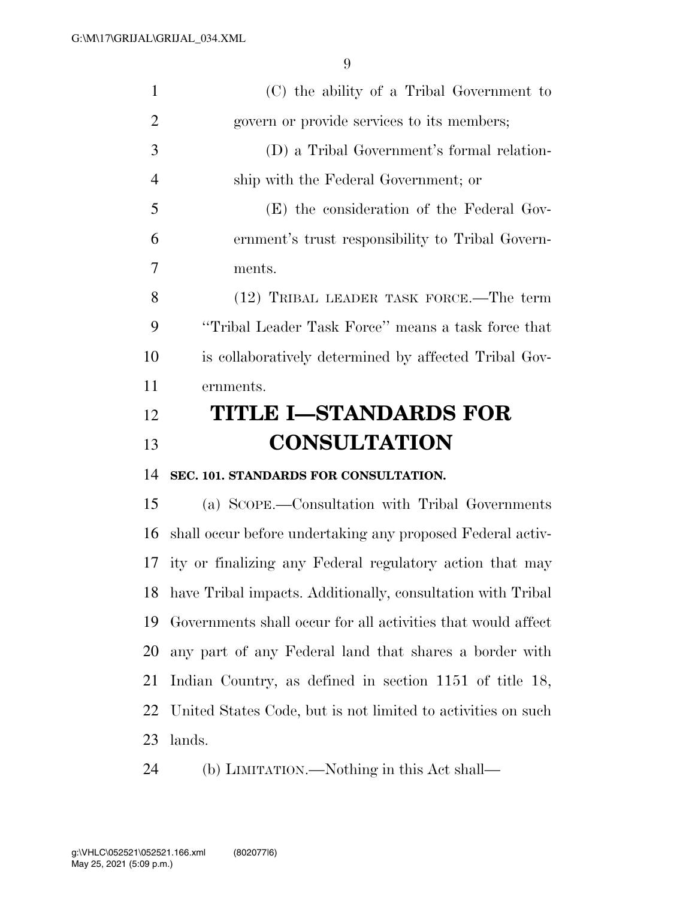| $\mathbf{1}$   | (C) the ability of a Tribal Government to                      |
|----------------|----------------------------------------------------------------|
| $\overline{2}$ | govern or provide services to its members;                     |
| 3              | (D) a Tribal Government's formal relation-                     |
| $\overline{4}$ | ship with the Federal Government; or                           |
| 5              | (E) the consideration of the Federal Gov-                      |
| 6              | ernment's trust responsibility to Tribal Govern-               |
| 7              | ments.                                                         |
| 8              | (12) TRIBAL LEADER TASK FORCE.—The term                        |
| 9              | "Tribal Leader Task Force" means a task force that             |
| 10             | is collaboratively determined by affected Tribal Gov-          |
| 11             | ernments.                                                      |
| 12             | <b>TITLE I-STANDARDS FOR</b>                                   |
|                |                                                                |
| 13             | <b>CONSULTATION</b>                                            |
| 14             | SEC. 101. STANDARDS FOR CONSULTATION.                          |
| 15             | (a) SCOPE.—Consultation with Tribal Governments                |
| 16             | shall occur before undertaking any proposed Federal activ-     |
| 17             | ity or finalizing any Federal regulatory action that may       |
|                | 18 have Tribal impacts. Additionally, consultation with Tribal |
| 19             | Governments shall occur for all activities that would affect   |
| 20             | any part of any Federal land that shares a border with         |
| 21             | Indian Country, as defined in section 1151 of title 18,        |
| 22             | United States Code, but is not limited to activities on such   |
| 23             | lands.                                                         |

(b) LIMITATION.—Nothing in this Act shall—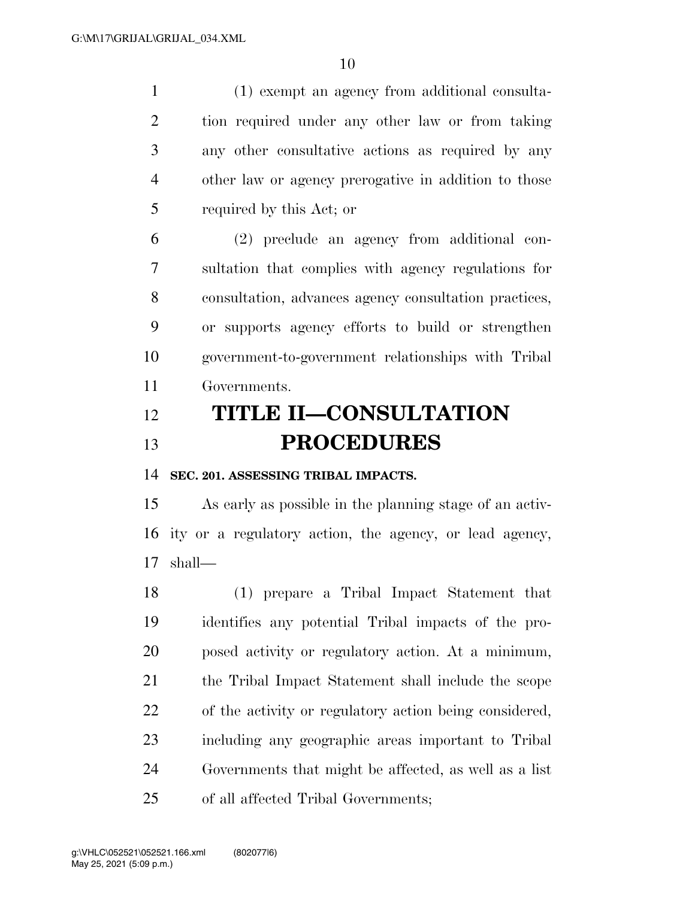(1) exempt an agency from additional consulta- tion required under any other law or from taking any other consultative actions as required by any other law or agency prerogative in addition to those required by this Act; or

 (2) preclude an agency from additional con- sultation that complies with agency regulations for consultation, advances agency consultation practices, or supports agency efforts to build or strengthen government-to-government relationships with Tribal Governments.

## **TITLE II—CONSULTATION PROCEDURES**

**SEC. 201. ASSESSING TRIBAL IMPACTS.** 

 As early as possible in the planning stage of an activ- ity or a regulatory action, the agency, or lead agency, shall—

 (1) prepare a Tribal Impact Statement that identifies any potential Tribal impacts of the pro- posed activity or regulatory action. At a minimum, the Tribal Impact Statement shall include the scope of the activity or regulatory action being considered, including any geographic areas important to Tribal Governments that might be affected, as well as a list of all affected Tribal Governments;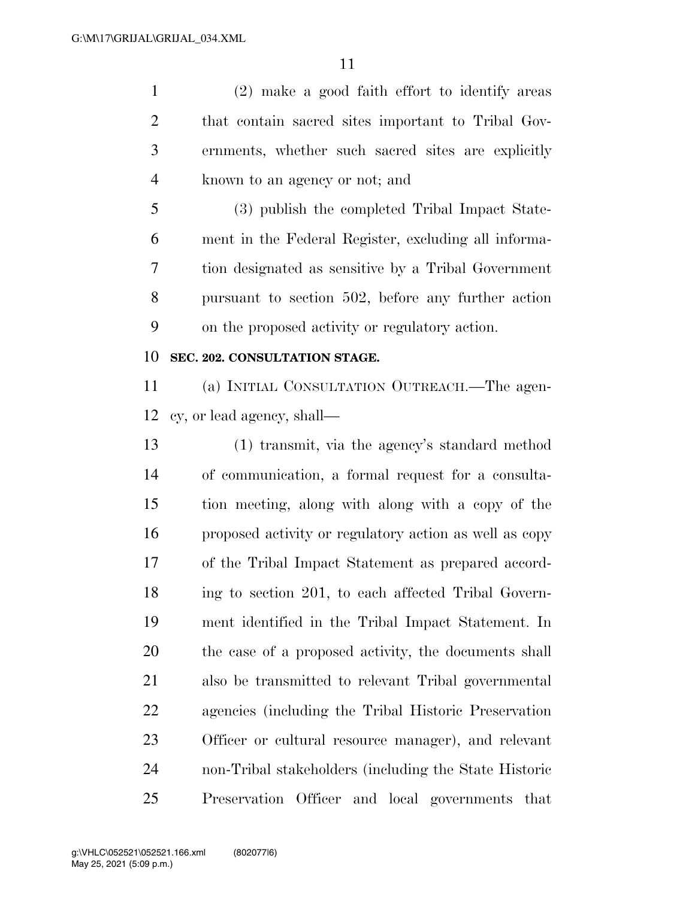(2) make a good faith effort to identify areas that contain sacred sites important to Tribal Gov- ernments, whether such sacred sites are explicitly known to an agency or not; and

 (3) publish the completed Tribal Impact State- ment in the Federal Register, excluding all informa- tion designated as sensitive by a Tribal Government pursuant to section 502, before any further action on the proposed activity or regulatory action.

## **SEC. 202. CONSULTATION STAGE.**

 (a) INITIAL CONSULTATION OUTREACH.—The agen-cy, or lead agency, shall—

 (1) transmit, via the agency's standard method of communication, a formal request for a consulta- tion meeting, along with along with a copy of the proposed activity or regulatory action as well as copy of the Tribal Impact Statement as prepared accord- ing to section 201, to each affected Tribal Govern- ment identified in the Tribal Impact Statement. In the case of a proposed activity, the documents shall also be transmitted to relevant Tribal governmental agencies (including the Tribal Historic Preservation Officer or cultural resource manager), and relevant non-Tribal stakeholders (including the State Historic Preservation Officer and local governments that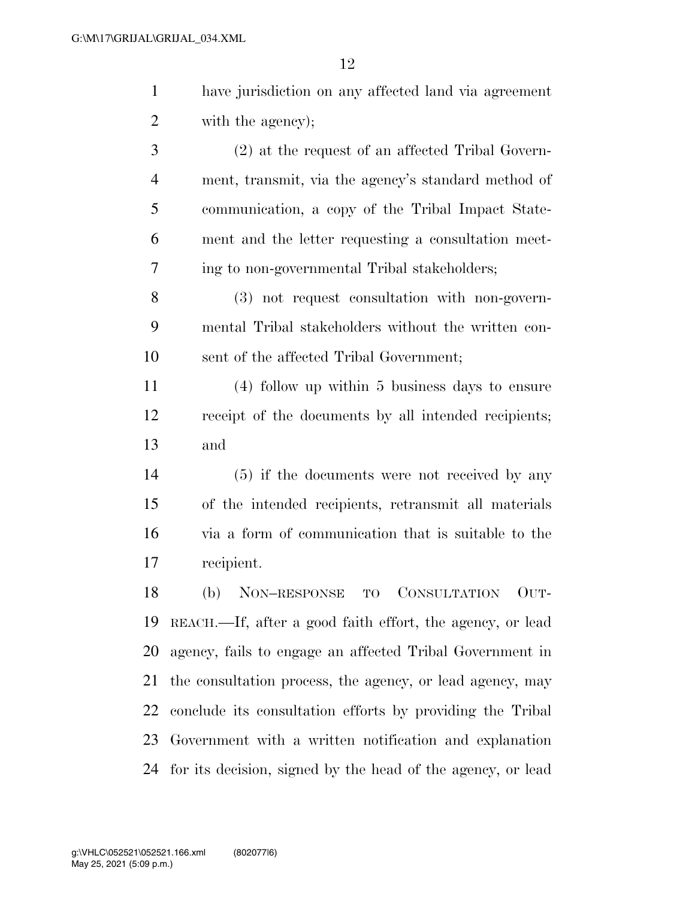have jurisdiction on any affected land via agreement with the agency);

 (2) at the request of an affected Tribal Govern- ment, transmit, via the agency's standard method of communication, a copy of the Tribal Impact State- ment and the letter requesting a consultation meet-ing to non-governmental Tribal stakeholders;

 (3) not request consultation with non-govern- mental Tribal stakeholders without the written con-sent of the affected Tribal Government;

 (4) follow up within 5 business days to ensure receipt of the documents by all intended recipients; and

 (5) if the documents were not received by any of the intended recipients, retransmit all materials via a form of communication that is suitable to the recipient.

 (b) NON–RESPONSE TO CONSULTATION OUT- REACH.—If, after a good faith effort, the agency, or lead agency, fails to engage an affected Tribal Government in the consultation process, the agency, or lead agency, may conclude its consultation efforts by providing the Tribal Government with a written notification and explanation for its decision, signed by the head of the agency, or lead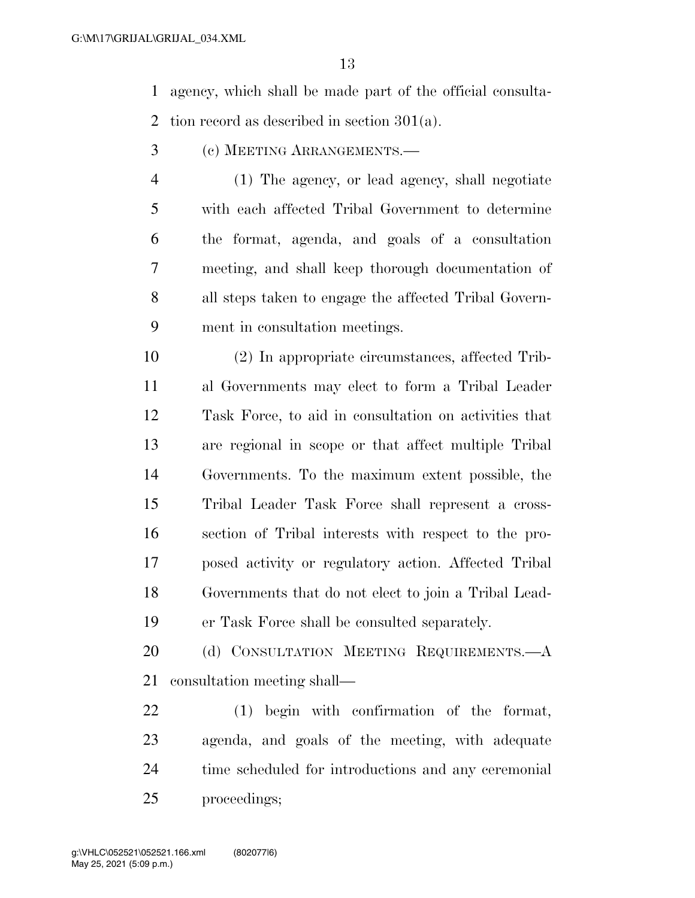agency, which shall be made part of the official consulta-2 tion record as described in section  $301(a)$ .

- (c) MEETING ARRANGEMENTS.—
- (1) The agency, or lead agency, shall negotiate with each affected Tribal Government to determine the format, agenda, and goals of a consultation meeting, and shall keep thorough documentation of all steps taken to engage the affected Tribal Govern-ment in consultation meetings.

 (2) In appropriate circumstances, affected Trib- al Governments may elect to form a Tribal Leader Task Force, to aid in consultation on activities that are regional in scope or that affect multiple Tribal Governments. To the maximum extent possible, the Tribal Leader Task Force shall represent a cross- section of Tribal interests with respect to the pro- posed activity or regulatory action. Affected Tribal Governments that do not elect to join a Tribal Lead-er Task Force shall be consulted separately.

20 (d) CONSULTATION MEETING REQUIREMENTS.—A consultation meeting shall—

 (1) begin with confirmation of the format, agenda, and goals of the meeting, with adequate time scheduled for introductions and any ceremonial proceedings;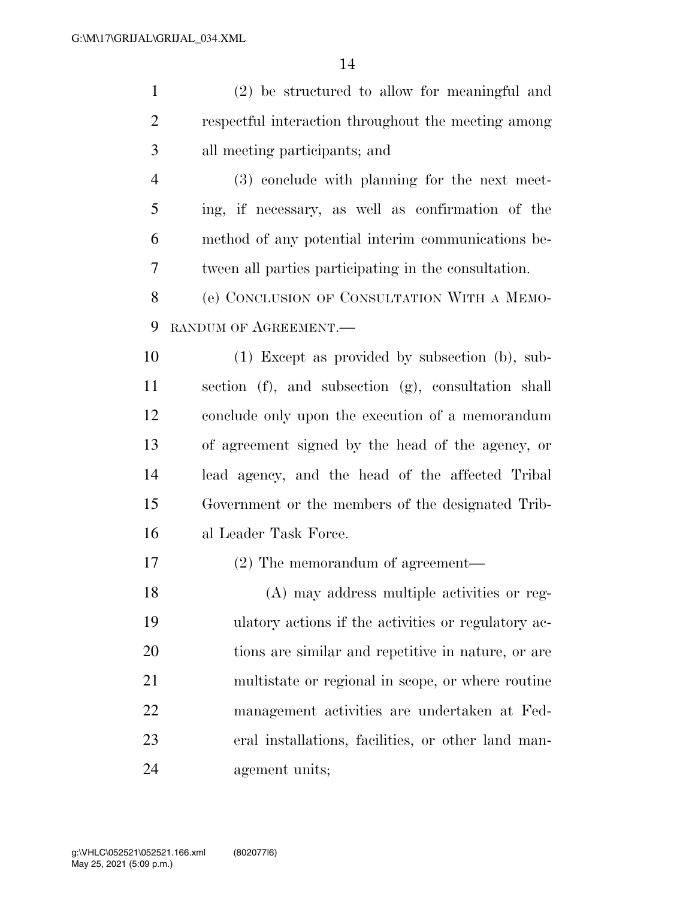(2) be structured to allow for meaningful and respectful interaction throughout the meeting among all meeting participants; and (3) conclude with planning for the next meet- ing, if necessary, as well as confirmation of the method of any potential interim communications be- tween all parties participating in the consultation. (e) CONCLUSION OF CONSULTATION WITH A MEMO- RANDUM OF AGREEMENT.— (1) Except as provided by subsection (b), sub- section (f), and subsection (g), consultation shall conclude only upon the execution of a memorandum of agreement signed by the head of the agency, or lead agency, and the head of the affected Tribal Government or the members of the designated Trib- al Leader Task Force. (2) The memorandum of agreement— (A) may address multiple activities or reg- ulatory actions if the activities or regulatory ac- tions are similar and repetitive in nature, or are multistate or regional in scope, or where routine management activities are undertaken at Fed- eral installations, facilities, or other land man-agement units;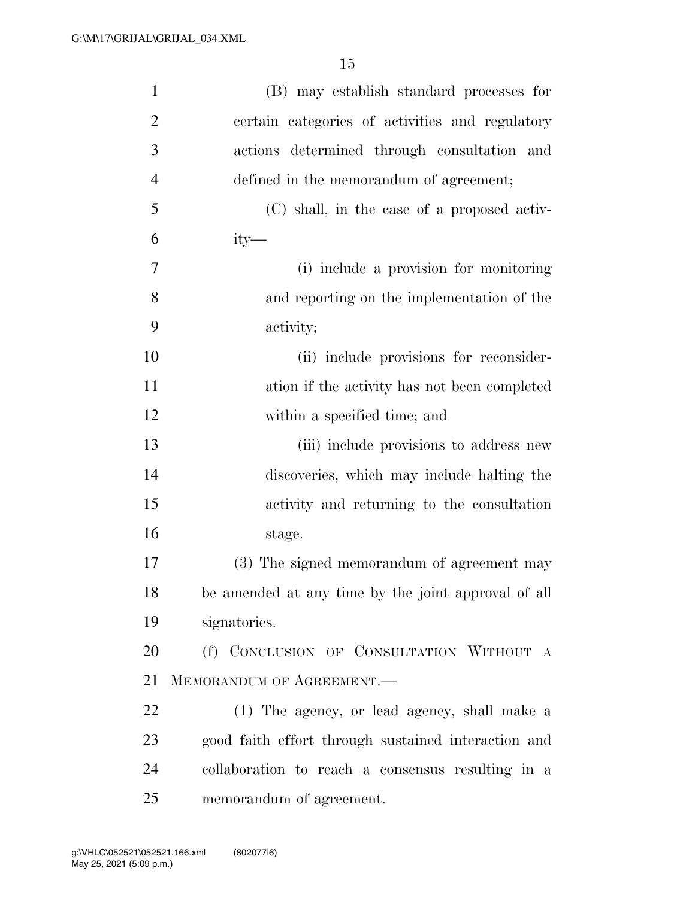| $\mathbf{1}$   | (B) may establish standard processes for            |
|----------------|-----------------------------------------------------|
| $\overline{2}$ | certain categories of activities and regulatory     |
| 3              | actions determined through consultation and         |
| $\overline{4}$ | defined in the memorandum of agreement;             |
| 5              | (C) shall, in the case of a proposed activ-         |
| 6              | $ity-$                                              |
| 7              | (i) include a provision for monitoring              |
| 8              | and reporting on the implementation of the          |
| 9              | activity;                                           |
| 10             | (ii) include provisions for reconsider-             |
| 11             | ation if the activity has not been completed        |
| 12             | within a specified time; and                        |
| 13             | (iii) include provisions to address new             |
| 14             | discoveries, which may include halting the          |
| 15             | activity and returning to the consultation          |
| 16             | stage.                                              |
| 17             | (3) The signed memorandum of agreement may          |
| 18             | be amended at any time by the joint approval of all |
| 19             | signatories.                                        |
| 20             | (f) CONCLUSION OF CONSULTATION WITHOUT A            |
| 21             | MEMORANDUM OF AGREEMENT.                            |
| 22             | (1) The agency, or lead agency, shall make a        |
| 23             | good faith effort through sustained interaction and |
| 24             | collaboration to reach a consensus resulting in a   |
| 25             | memorandum of agreement.                            |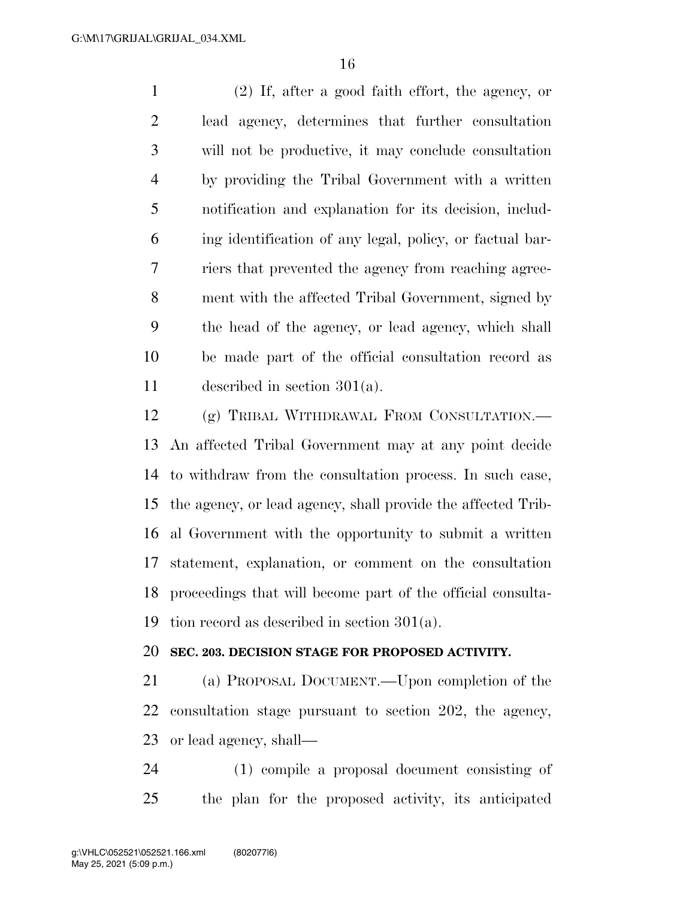(2) If, after a good faith effort, the agency, or lead agency, determines that further consultation will not be productive, it may conclude consultation by providing the Tribal Government with a written notification and explanation for its decision, includ- ing identification of any legal, policy, or factual bar- riers that prevented the agency from reaching agree- ment with the affected Tribal Government, signed by the head of the agency, or lead agency, which shall be made part of the official consultation record as described in section 301(a).

 (g) TRIBAL WITHDRAWAL FROM CONSULTATION.— An affected Tribal Government may at any point decide to withdraw from the consultation process. In such case, the agency, or lead agency, shall provide the affected Trib- al Government with the opportunity to submit a written statement, explanation, or comment on the consultation proceedings that will become part of the official consulta-tion record as described in section 301(a).

## **SEC. 203. DECISION STAGE FOR PROPOSED ACTIVITY.**

 (a) PROPOSAL DOCUMENT.—Upon completion of the consultation stage pursuant to section 202, the agency, or lead agency, shall—

 (1) compile a proposal document consisting of the plan for the proposed activity, its anticipated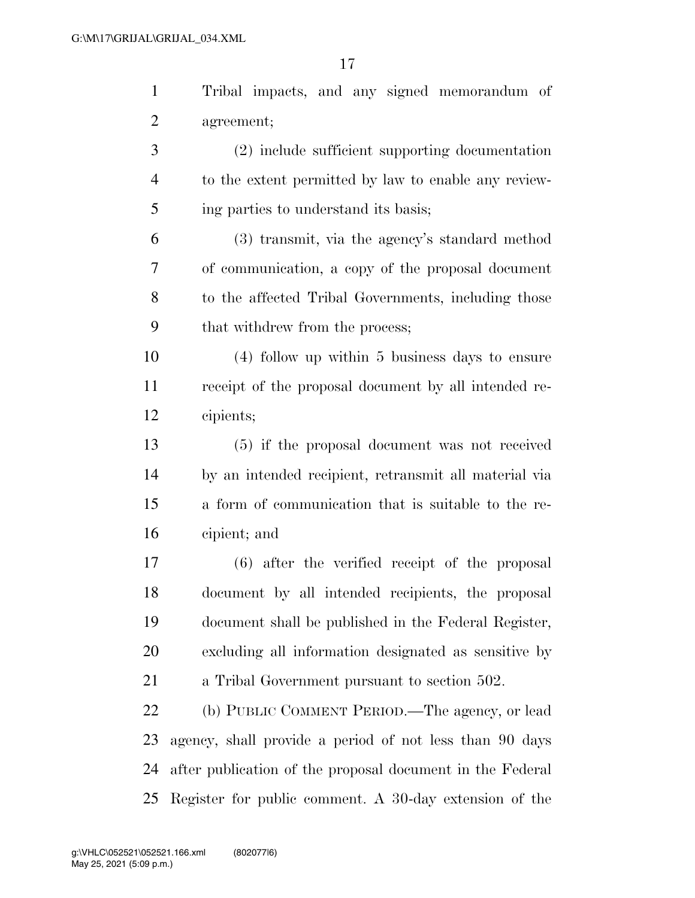Tribal impacts, and any signed memorandum of agreement;

 (2) include sufficient supporting documentation to the extent permitted by law to enable any review-ing parties to understand its basis;

 (3) transmit, via the agency's standard method of communication, a copy of the proposal document to the affected Tribal Governments, including those that withdrew from the process;

 (4) follow up within 5 business days to ensure receipt of the proposal document by all intended re-cipients;

 (5) if the proposal document was not received by an intended recipient, retransmit all material via a form of communication that is suitable to the re-cipient; and

 (6) after the verified receipt of the proposal document by all intended recipients, the proposal document shall be published in the Federal Register, excluding all information designated as sensitive by a Tribal Government pursuant to section 502.

 (b) PUBLIC COMMENT PERIOD.—The agency, or lead agency, shall provide a period of not less than 90 days after publication of the proposal document in the Federal Register for public comment. A 30-day extension of the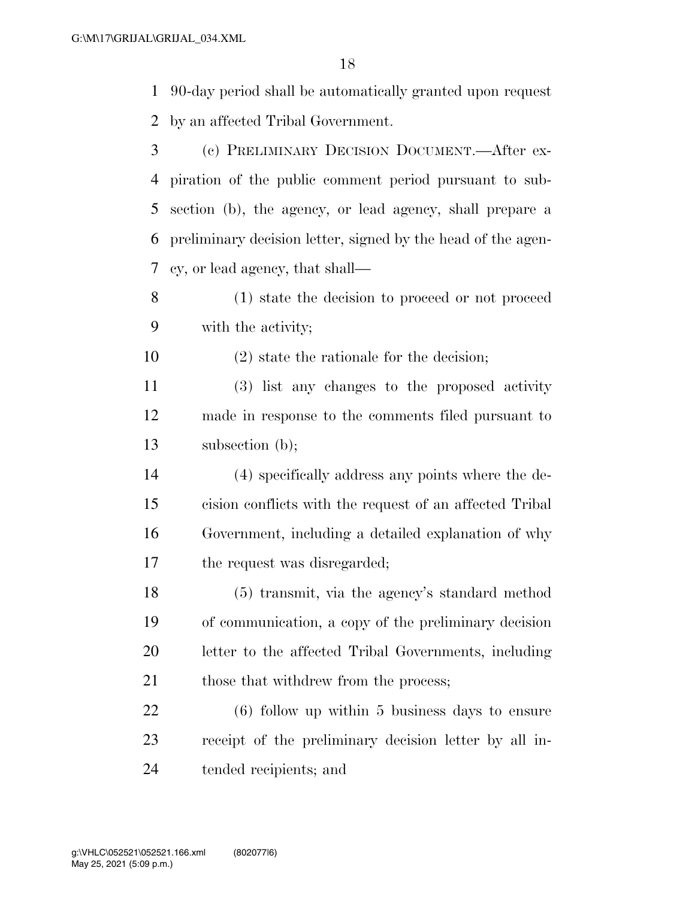90-day period shall be automatically granted upon request by an affected Tribal Government.

- (c) PRELIMINARY DECISION DOCUMENT.—After ex- piration of the public comment period pursuant to sub- section (b), the agency, or lead agency, shall prepare a preliminary decision letter, signed by the head of the agen-cy, or lead agency, that shall—
- (1) state the decision to proceed or not proceed with the activity;
- (2) state the rationale for the decision;
- (3) list any changes to the proposed activity made in response to the comments filed pursuant to subsection (b);
- (4) specifically address any points where the de- cision conflicts with the request of an affected Tribal Government, including a detailed explanation of why the request was disregarded;
- (5) transmit, via the agency's standard method of communication, a copy of the preliminary decision letter to the affected Tribal Governments, including 21 those that withdrew from the process;

 (6) follow up within 5 business days to ensure receipt of the preliminary decision letter by all in-tended recipients; and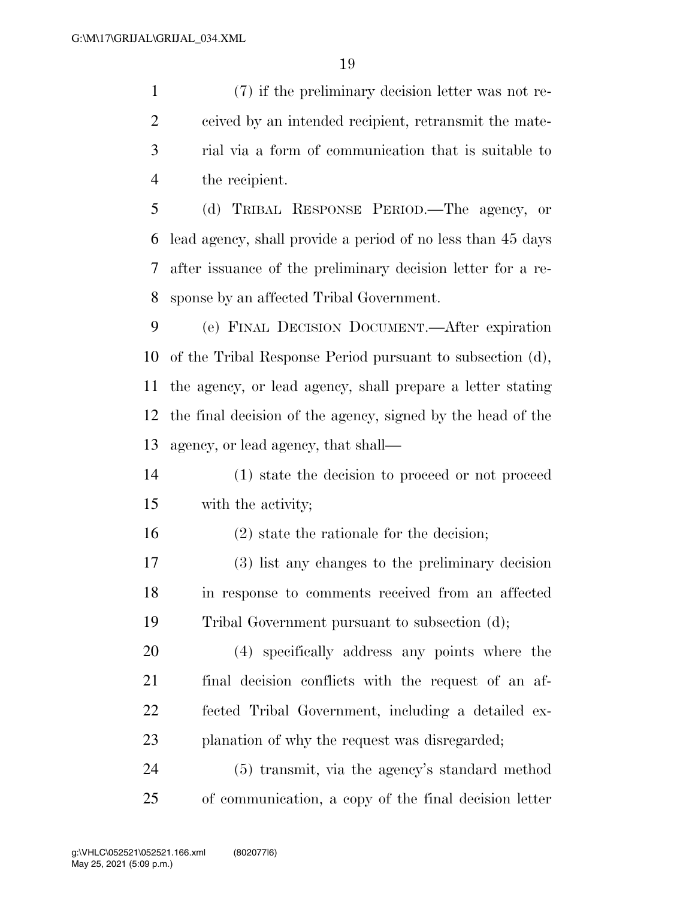(7) if the preliminary decision letter was not re- ceived by an intended recipient, retransmit the mate- rial via a form of communication that is suitable to the recipient.

 (d) TRIBAL RESPONSE PERIOD.—The agency, or lead agency, shall provide a period of no less than 45 days after issuance of the preliminary decision letter for a re-sponse by an affected Tribal Government.

 (e) FINAL DECISION DOCUMENT.—After expiration of the Tribal Response Period pursuant to subsection (d), the agency, or lead agency, shall prepare a letter stating the final decision of the agency, signed by the head of the agency, or lead agency, that shall—

- (1) state the decision to proceed or not proceed with the activity;
- (2) state the rationale for the decision;
- (3) list any changes to the preliminary decision in response to comments received from an affected Tribal Government pursuant to subsection (d);

 (4) specifically address any points where the final decision conflicts with the request of an af- fected Tribal Government, including a detailed ex-planation of why the request was disregarded;

 (5) transmit, via the agency's standard method of communication, a copy of the final decision letter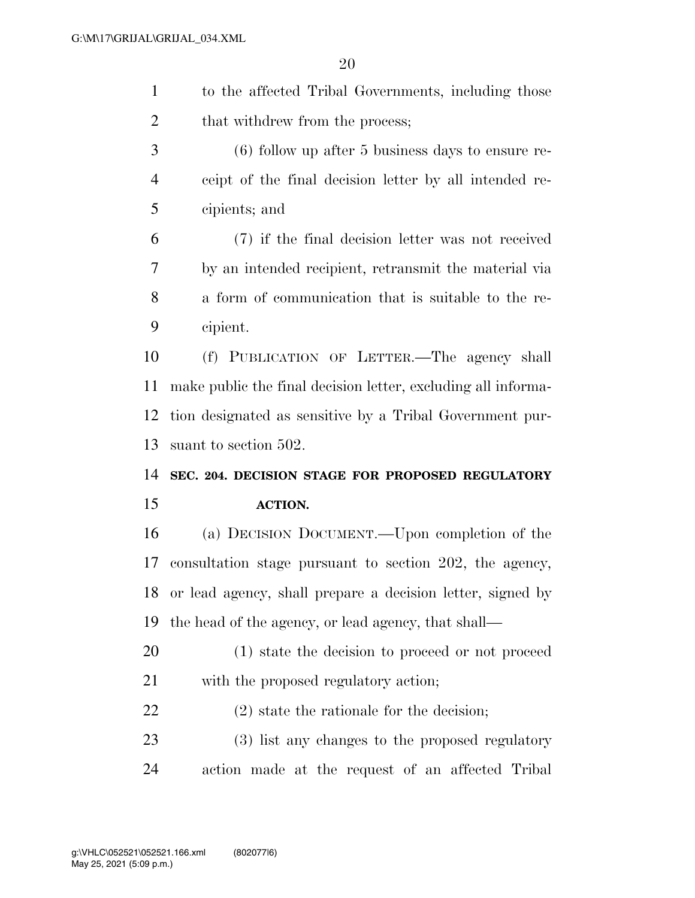- to the affected Tribal Governments, including those 2 that withdrew from the process;
- (6) follow up after 5 business days to ensure re- ceipt of the final decision letter by all intended re-cipients; and

 (7) if the final decision letter was not received by an intended recipient, retransmit the material via a form of communication that is suitable to the re-cipient.

 (f) PUBLICATION OF LETTER.—The agency shall make public the final decision letter, excluding all informa- tion designated as sensitive by a Tribal Government pur-suant to section 502.

**SEC. 204. DECISION STAGE FOR PROPOSED REGULATORY** 

## **ACTION.**

 (a) DECISION DOCUMENT.—Upon completion of the consultation stage pursuant to section 202, the agency, or lead agency, shall prepare a decision letter, signed by the head of the agency, or lead agency, that shall—

 (1) state the decision to proceed or not proceed with the proposed regulatory action;

(2) state the rationale for the decision;

 (3) list any changes to the proposed regulatory action made at the request of an affected Tribal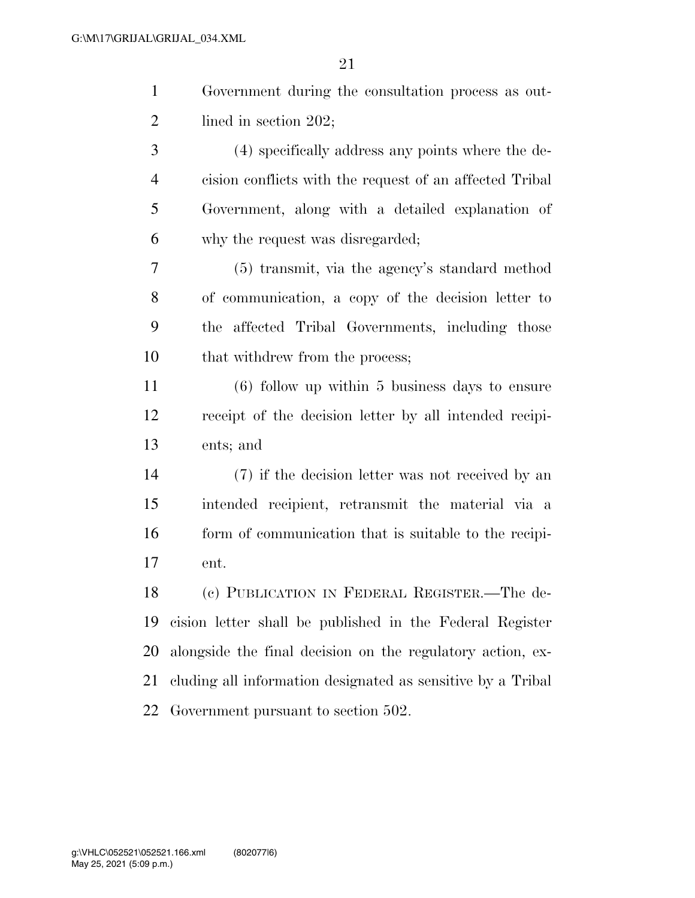|               | Government during the consultation process as out- |
|---------------|----------------------------------------------------|
| $2^{\circ}$   | lined in section $202$ ;                           |
| $\mathcal{R}$ | (4) specifically address any points where the de-  |

- cision conflicts with the request of an affected Tribal Government, along with a detailed explanation of why the request was disregarded;
- (5) transmit, via the agency's standard method of communication, a copy of the decision letter to the affected Tribal Governments, including those 10 that withdrew from the process;
- (6) follow up within 5 business days to ensure receipt of the decision letter by all intended recipi-ents; and
- (7) if the decision letter was not received by an intended recipient, retransmit the material via a 16 form of communication that is suitable to the recipi-ent.

 (c) PUBLICATION IN FEDERAL REGISTER.—The de- cision letter shall be published in the Federal Register alongside the final decision on the regulatory action, ex- cluding all information designated as sensitive by a Tribal Government pursuant to section 502.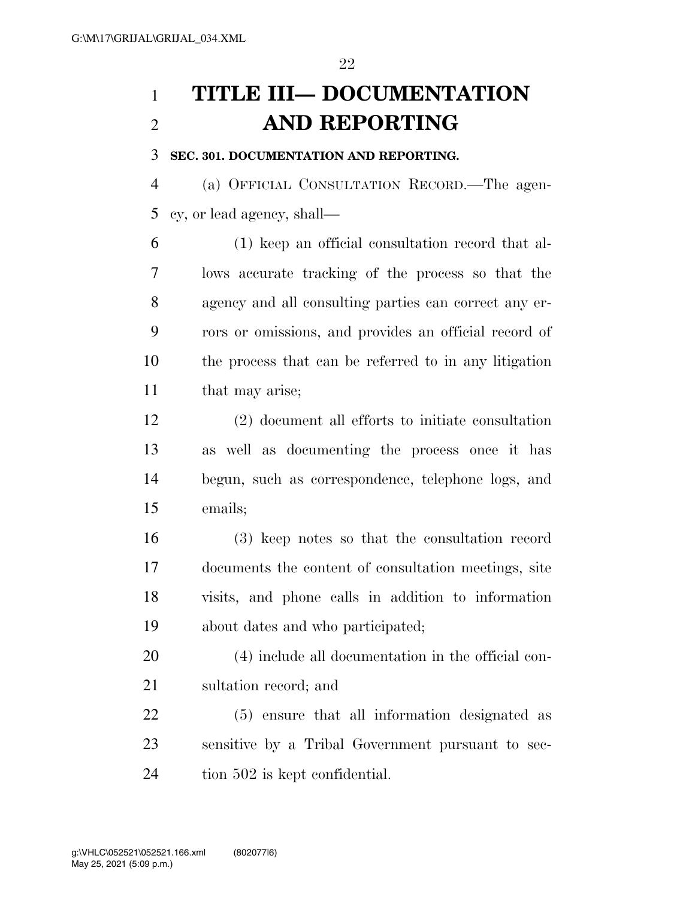## **TITLE III— DOCUMENTATION AND REPORTING**

**SEC. 301. DOCUMENTATION AND REPORTING.** 

 (a) OFFICIAL CONSULTATION RECORD.—The agen-cy, or lead agency, shall—

 (1) keep an official consultation record that al- lows accurate tracking of the process so that the agency and all consulting parties can correct any er- rors or omissions, and provides an official record of the process that can be referred to in any litigation that may arise;

 (2) document all efforts to initiate consultation as well as documenting the process once it has begun, such as correspondence, telephone logs, and emails;

 (3) keep notes so that the consultation record documents the content of consultation meetings, site visits, and phone calls in addition to information about dates and who participated;

 (4) include all documentation in the official con-sultation record; and

 (5) ensure that all information designated as sensitive by a Tribal Government pursuant to sec-tion 502 is kept confidential.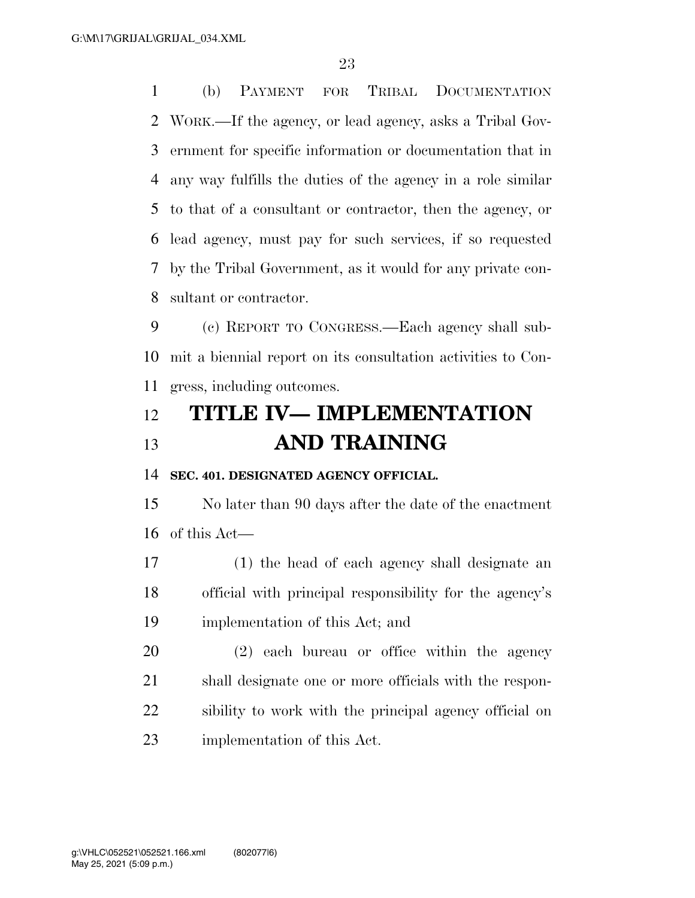(b) PAYMENT FOR TRIBAL DOCUMENTATION WORK.—If the agency, or lead agency, asks a Tribal Gov- ernment for specific information or documentation that in any way fulfills the duties of the agency in a role similar to that of a consultant or contractor, then the agency, or lead agency, must pay for such services, if so requested by the Tribal Government, as it would for any private con-sultant or contractor.

 (c) REPORT TO CONGRESS.—Each agency shall sub- mit a biennial report on its consultation activities to Con-gress, including outcomes.

## **TITLE IV— IMPLEMENTATION AND TRAINING**

**SEC. 401. DESIGNATED AGENCY OFFICIAL.** 

 No later than 90 days after the date of the enactment of this Act—

 (1) the head of each agency shall designate an official with principal responsibility for the agency's implementation of this Act; and

 (2) each bureau or office within the agency shall designate one or more officials with the respon- sibility to work with the principal agency official on implementation of this Act.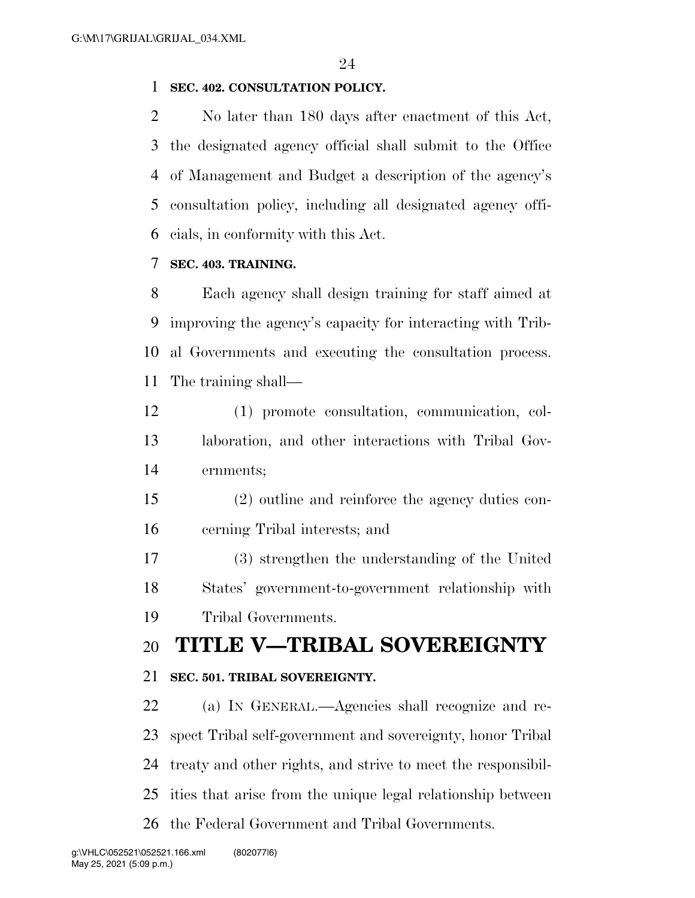## **SEC. 402. CONSULTATION POLICY.**

 No later than 180 days after enactment of this Act, the designated agency official shall submit to the Office of Management and Budget a description of the agency's consultation policy, including all designated agency offi-cials, in conformity with this Act.

## **SEC. 403. TRAINING.**

 Each agency shall design training for staff aimed at improving the agency's capacity for interacting with Trib- al Governments and executing the consultation process. The training shall—

 (1) promote consultation, communication, col- laboration, and other interactions with Tribal Gov-ernments;

 (2) outline and reinforce the agency duties con-cerning Tribal interests; and

 (3) strengthen the understanding of the United States' government-to-government relationship with Tribal Governments.

## **TITLE V—TRIBAL SOVEREIGNTY**

## **SEC. 501. TRIBAL SOVEREIGNTY.**

 (a) IN GENERAL.—Agencies shall recognize and re- spect Tribal self-government and sovereignty, honor Tribal treaty and other rights, and strive to meet the responsibil- ities that arise from the unique legal relationship between the Federal Government and Tribal Governments.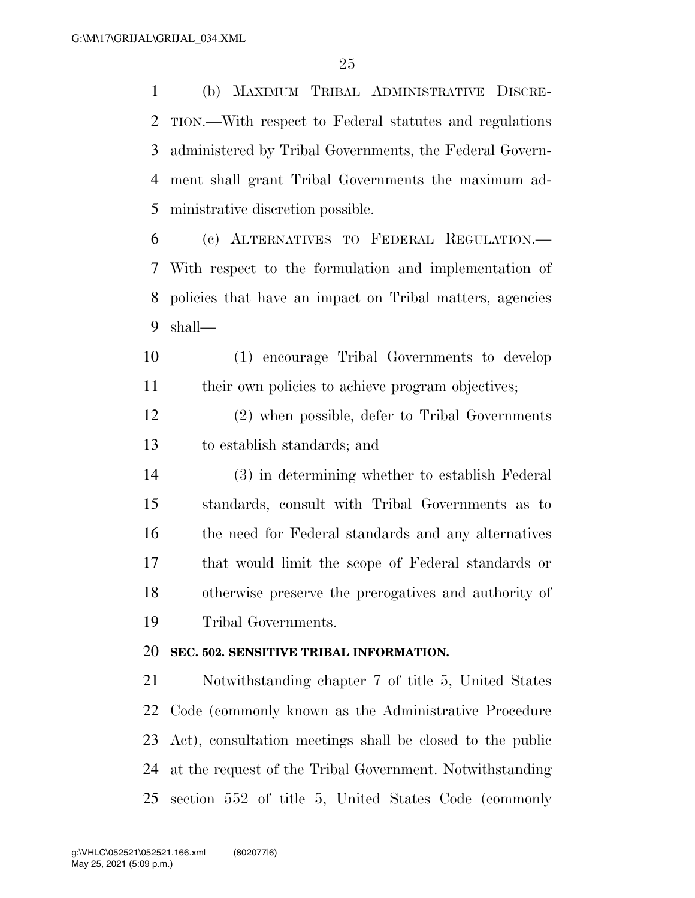(b) MAXIMUM TRIBAL ADMINISTRATIVE DISCRE- TION.—With respect to Federal statutes and regulations administered by Tribal Governments, the Federal Govern- ment shall grant Tribal Governments the maximum ad-ministrative discretion possible.

 (c) ALTERNATIVES TO FEDERAL REGULATION.— With respect to the formulation and implementation of policies that have an impact on Tribal matters, agencies shall—

 (1) encourage Tribal Governments to develop 11 their own policies to achieve program objectives;

 (2) when possible, defer to Tribal Governments to establish standards; and

 (3) in determining whether to establish Federal standards, consult with Tribal Governments as to the need for Federal standards and any alternatives that would limit the scope of Federal standards or otherwise preserve the prerogatives and authority of Tribal Governments.

## **SEC. 502. SENSITIVE TRIBAL INFORMATION.**

 Notwithstanding chapter 7 of title 5, United States Code (commonly known as the Administrative Procedure Act), consultation meetings shall be closed to the public at the request of the Tribal Government. Notwithstanding section 552 of title 5, United States Code (commonly